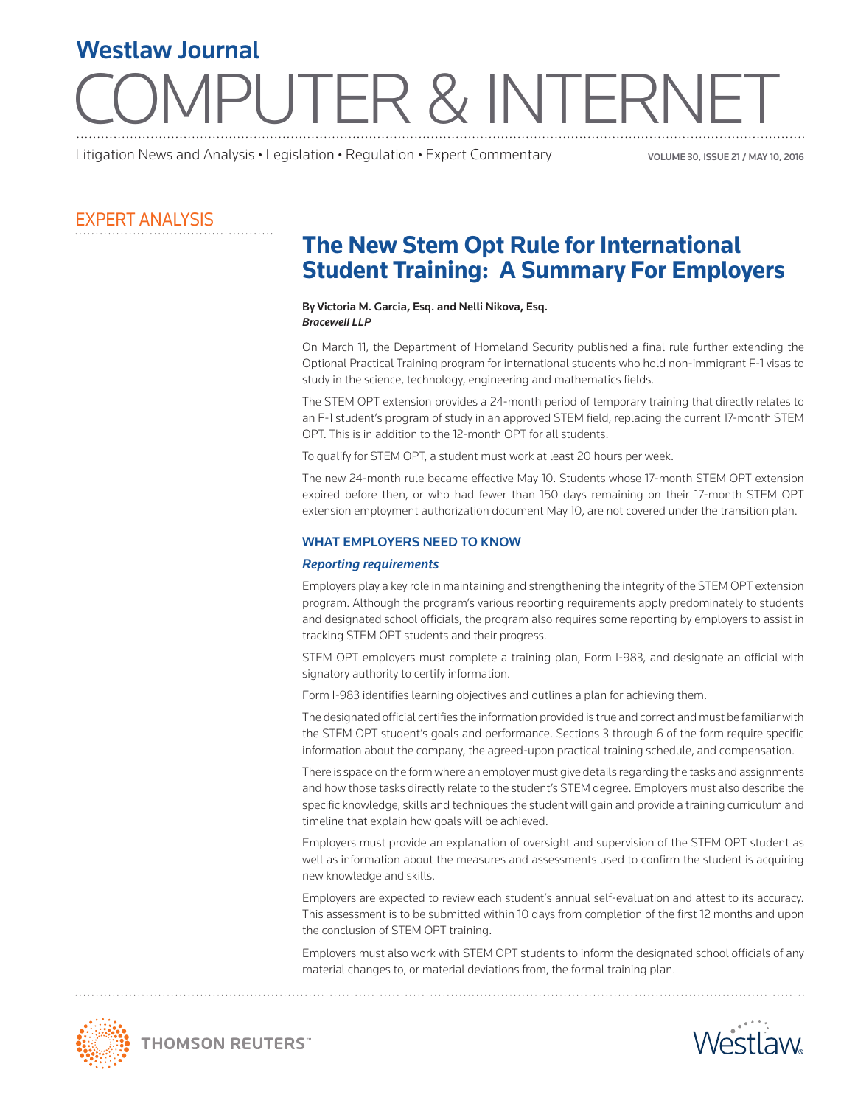# JTER & INTERI Westlaw Journal

Litigation News and Analysis • Legislation • Regulation • Expert Commentary

VOLUME 30, ISSUE 21 / MAY 10, 2016

### EXPERT ANALYSIS

## **The New Stem Opt Rule for International Student Training: A Summary For Employers**

#### By Victoria M. Garcia, Esq. and Nelli Nikova, Esq. *Bracewell LLP*

On March 11, the Department of Homeland Security published a final rule further extending the Optional Practical Training program for international students who hold non-immigrant F-1 visas to study in the science, technology, engineering and mathematics fields.

The STEM OPT extension provides a 24-month period of temporary training that directly relates to an F-1 student's program of study in an approved STEM field, replacing the current 17-month STEM OPT. This is in addition to the 12-month OPT for all students.

To qualify for STEM OPT, a student must work at least 20 hours per week.

The new 24-month rule became effective May 10. Students whose 17-month STEM OPT extension expired before then, or who had fewer than 150 days remaining on their 17-month STEM OPT extension employment authorization document May 10, are not covered under the transition plan.

#### WHAT EMPLOYERS NEED TO KNOW

#### *Reporting requirements*

Employers play a key role in maintaining and strengthening the integrity of the STEM OPT extension program. Although the program's various reporting requirements apply predominately to students and designated school officials, the program also requires some reporting by employers to assist in tracking STEM OPT students and their progress.

STEM OPT employers must complete a training plan, Form I-983, and designate an official with signatory authority to certify information.

Form I-983 identifies learning objectives and outlines a plan for achieving them.

The designated official certifies the information provided is true and correct and must be familiar with the STEM OPT student's goals and performance. Sections 3 through 6 of the form require specific information about the company, the agreed-upon practical training schedule, and compensation.

There is space on the form where an employer must give details regarding the tasks and assignments and how those tasks directly relate to the student's STEM degree. Employers must also describe the specific knowledge, skills and techniques the student will gain and provide a training curriculum and timeline that explain how goals will be achieved.

Employers must provide an explanation of oversight and supervision of the STEM OPT student as well as information about the measures and assessments used to confirm the student is acquiring new knowledge and skills.

Employers are expected to review each student's annual self-evaluation and attest to its accuracy. This assessment is to be submitted within 10 days from completion of the first 12 months and upon the conclusion of STEM OPT training.

Employers must also work with STEM OPT students to inform the designated school officials of any material changes to, or material deviations from, the formal training plan.